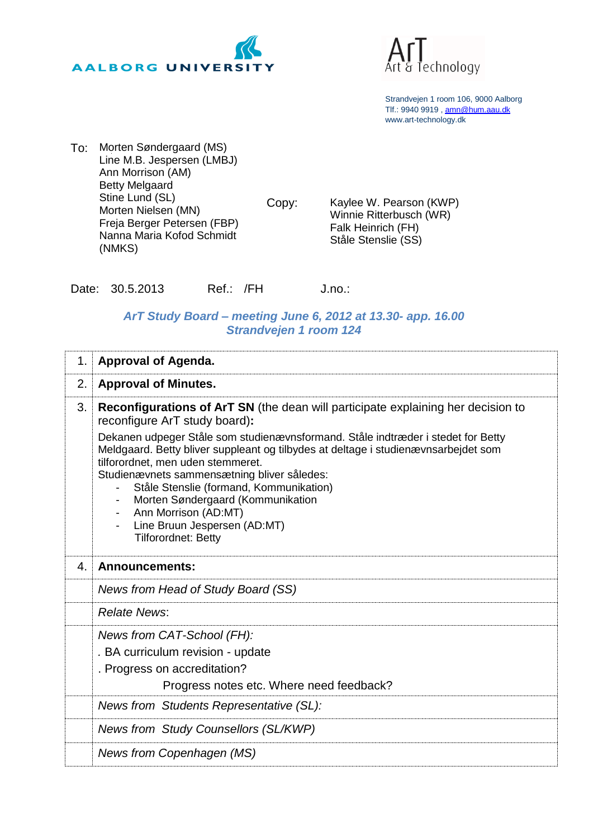



Strandvejen 1 room 106, 9000 Aalborg Tlf.: 9940 9919 , [amn@hum.aau.dk](mailto:amn@hum.aau.dk) www.art-technology.dk

To: Morten Søndergaard (MS) Line M.B. Jespersen (LMBJ) Ann Morrison (AM) Betty Melgaard Stine Lund (SL) Morten Nielsen (MN) Freja Berger Petersen (FBP) Nanna Maria Kofod Schmidt (NMKS)

Copy: Kaylee W. Pearson (KWP) Winnie Ritterbusch (WR) Falk Heinrich (FH) Ståle Stenslie (SS)

Date: 30.5.2013 Ref.: /FH J.no.:

## *ArT Study Board – meeting June 6, 2012 at 13.30- app. 16.00 Strandvejen 1 room 124*

| 1. | <b>Approval of Agenda.</b>                                                                                                                                                                                                                                                                                                                                                                                                                                   |
|----|--------------------------------------------------------------------------------------------------------------------------------------------------------------------------------------------------------------------------------------------------------------------------------------------------------------------------------------------------------------------------------------------------------------------------------------------------------------|
| 2. | <b>Approval of Minutes.</b>                                                                                                                                                                                                                                                                                                                                                                                                                                  |
| 3. | <b>Reconfigurations of ArT SN</b> (the dean will participate explaining her decision to<br>reconfigure ArT study board):                                                                                                                                                                                                                                                                                                                                     |
|    | Dekanen udpeger Ståle som studienævnsformand. Ståle indtræder i stedet for Betty<br>Meldgaard. Betty bliver suppleant og tilbydes at deltage i studienævnsarbejdet som<br>tilforordnet, men uden stemmeret.<br>Studienævnets sammensætning bliver således:<br>Ståle Stenslie (formand, Kommunikation)<br>Morten Søndergaard (Kommunikation<br>Ann Morrison (AD:MT)<br>$\overline{\phantom{a}}$<br>Line Bruun Jespersen (AD:MT)<br><b>Tilforordnet: Betty</b> |
| 4. | <b>Announcements:</b>                                                                                                                                                                                                                                                                                                                                                                                                                                        |
|    | News from Head of Study Board (SS)                                                                                                                                                                                                                                                                                                                                                                                                                           |
|    | <b>Relate News:</b>                                                                                                                                                                                                                                                                                                                                                                                                                                          |
|    | News from CAT-School (FH):                                                                                                                                                                                                                                                                                                                                                                                                                                   |
|    | . BA curriculum revision - update<br>. Progress on accreditation?                                                                                                                                                                                                                                                                                                                                                                                            |
|    | Progress notes etc. Where need feedback?                                                                                                                                                                                                                                                                                                                                                                                                                     |
|    | News from Students Representative (SL):                                                                                                                                                                                                                                                                                                                                                                                                                      |
|    | News from Study Counsellors (SL/KWP)                                                                                                                                                                                                                                                                                                                                                                                                                         |
|    | News from Copenhagen (MS)                                                                                                                                                                                                                                                                                                                                                                                                                                    |